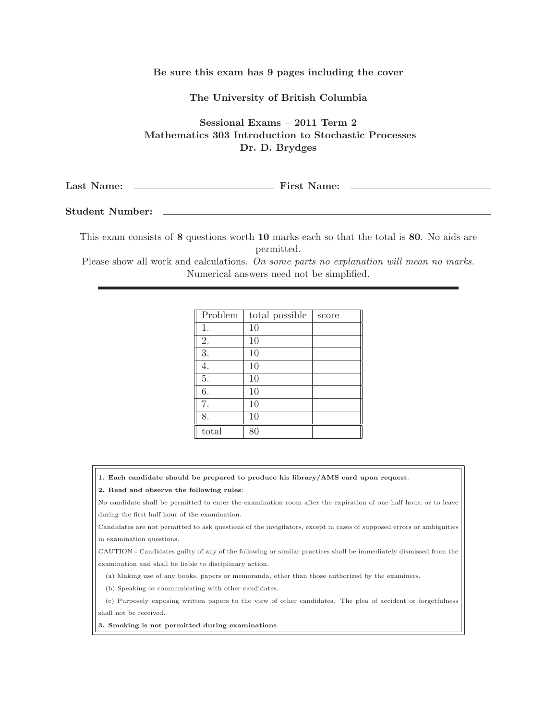### Be sure this exam has 9 pages including the cover

### The University of British Columbia

# Sessional Exams – 2011 Term 2 Mathematics 303 Introduction to Stochastic Processes Dr. D. Brydges

| Last<br>First<br>Name: | vame: |
|------------------------|-------|
|------------------------|-------|

## Student Number:

This exam consists of 8 questions worth 10 marks each so that the total is 80. No aids are permitted.

Please show all work and calculations. On some parts no explanation will mean no marks. Numerical answers need not be simplified.

| Problem | total possible | score |
|---------|----------------|-------|
| 1.      | 10             |       |
| 2.      | 10             |       |
| 3.      | 10             |       |
| 4.      | 10             |       |
| 5.      | 10             |       |
| 6.      | 10             |       |
| 7.      | 10             |       |
| 8.      | 10             |       |
| total   | 80             |       |

#### 1. Each candidate should be prepared to produce his library/AMS card upon request.

#### 2. Read and observe the following rules:

No candidate shall be permitted to enter the examination room after the expiration of one half hour, or to leave during the first half hour of the examination.

Candidates are not permitted to ask questions of the invigilators, except in cases of supposed errors or ambiguities in examination questions.

CAUTION - Candidates guilty of any of the following or similar practices shall be immediately dismissed from the examination and shall be liable to disciplinary action.

(a) Making use of any books, papers or memoranda, other than those authorized by the examiners.

(b) Speaking or communicating with other candidates.

(c) Purposely exposing written papers to the view of other candidates. The plea of accident or forgetfulness

shall not be received.

3. Smoking is not permitted during examinations.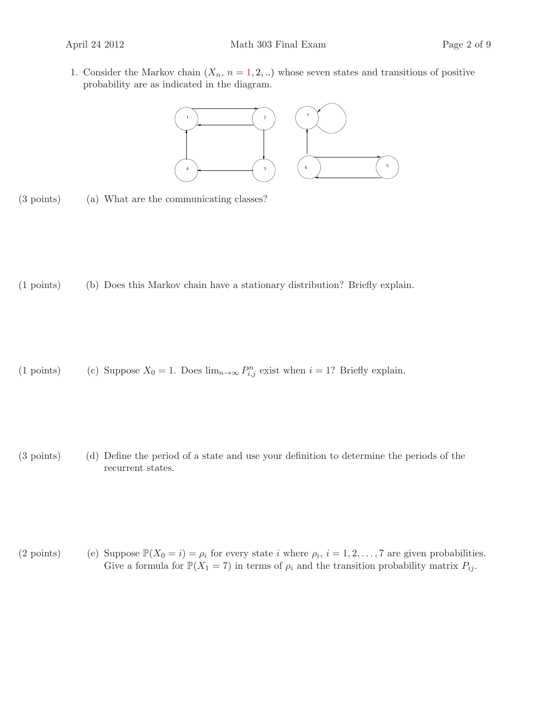1. Consider the Markov chain  $(X_n, n = 1, 2, ...)$  whose seven states and transitions of positive probability are as indicated in the diagram.



(3 points) (a) What are the communicating classes?

(1 points) (b) Does this Markov chain have a stationary distribution? Briefly explain.

(1 points) (c) Suppose  $X_0 = 1$ . Does  $\lim_{n \to \infty} P_{i,j}^n$  exist when  $i = 1$ ? Briefly explain.

(3 points) (d) Define the period of a state and use your definition to determine the periods of the recurrent states.

(2 points) (e) Suppose  $\mathbb{P}(X_0 = i) = \rho_i$  for every state i where  $\rho_i$ ,  $i = 1, 2, ..., 7$  are given probabilities. Give a formula for  $\mathbb{P}(X_1 = 7)$  in terms of  $\rho_i$  and the transition probability matrix  $P_{ij}$ .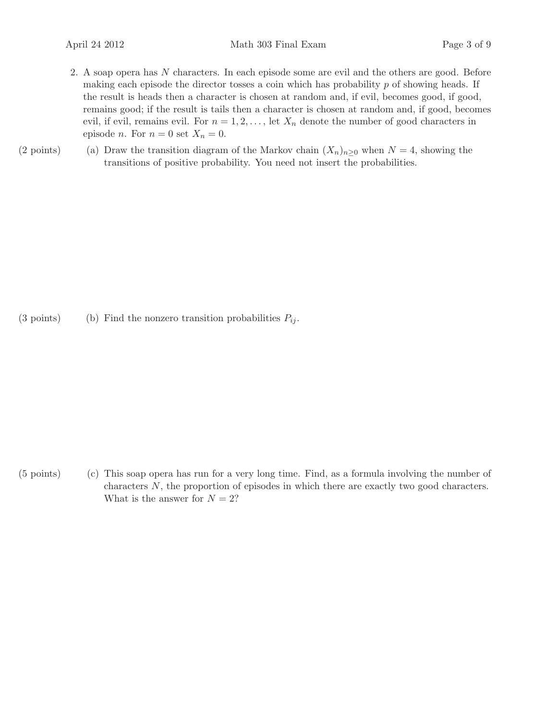- 2. A soap opera has N characters. In each episode some are evil and the others are good. Before making each episode the director tosses a coin which has probability  $p$  of showing heads. If the result is heads then a character is chosen at random and, if evil, becomes good, if good, remains good; if the result is tails then a character is chosen at random and, if good, becomes evil, if evil, remains evil. For  $n = 1, 2, \ldots$ , let  $X_n$  denote the number of good characters in episode *n*. For  $n = 0$  set  $X_n = 0$ .
- (2 points) (a) Draw the transition diagram of the Markov chain  $(X_n)_{n>0}$  when  $N=4$ , showing the transitions of positive probability. You need not insert the probabilities.

(3 points) (b) Find the nonzero transition probabilities  $P_{ij}$ .

(5 points) (c) This soap opera has run for a very long time. Find, as a formula involving the number of characters N, the proportion of episodes in which there are exactly two good characters. What is the answer for  $N = 2$ ?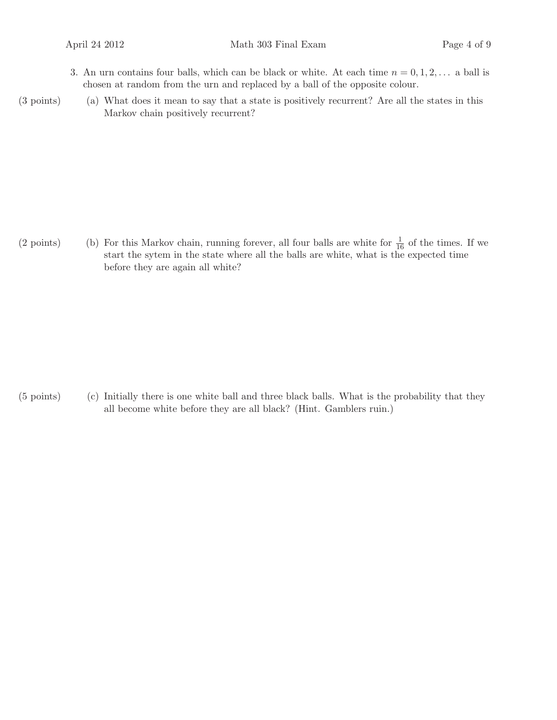- 3. An urn contains four balls, which can be black or white. At each time  $n = 0, 1, 2, \ldots$  a ball is chosen at random from the urn and replaced by a ball of the opposite colour.
- (3 points) (a) What does it mean to say that a state is positively recurrent? Are all the states in this Markov chain positively recurrent?

(2 points) (b) For this Markov chain, running forever, all four balls are white for  $\frac{1}{16}$  of the times. If we start the sytem in the state where all the balls are white, what is the expected time before they are again all white?

(5 points) (c) Initially there is one white ball and three black balls. What is the probability that they all become white before they are all black? (Hint. Gamblers ruin.)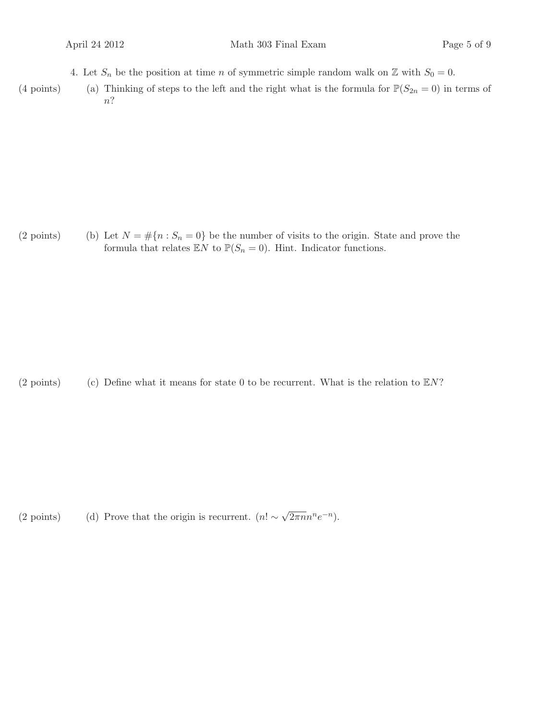- 4. Let  $S_n$  be the position at time n of symmetric simple random walk on  $\mathbb Z$  with  $S_0 = 0$ .
- (4 points) (a) Thinking of steps to the left and the right what is the formula for  $\mathbb{P}(S_{2n} = 0)$  in terms of n?

(2 points) (b) Let  $N = \#\{n : S_n = 0\}$  be the number of visits to the origin. State and prove the formula that relates  $\mathbb{E}N$  to  $\mathbb{P}(S_n = 0)$ . Hint. Indicator functions.

(2 points) (c) Define what it means for state 0 to be recurrent. What is the relation to  $\mathbb{E}N$ ?

(2 points) (d) Prove that the origin is recurrent.  $(n! \sim \sqrt{2\pi n} n^n e^{-n})$ .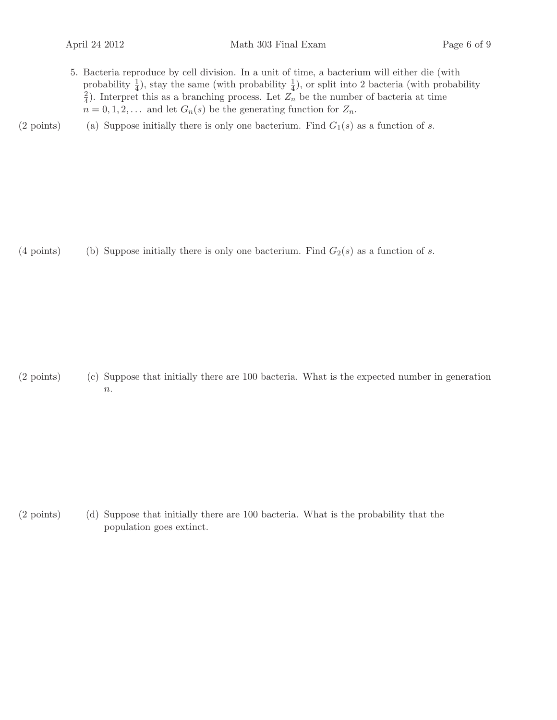- 5. Bacteria reproduce by cell division. In a unit of time, a bacterium will either die (with probability  $\frac{1}{4}$ ), stay the same (with probability  $\frac{1}{4}$ ), or split into 2 bacteria (with probability  $\rm \tilde{2}$  $\frac{2}{4}$ ). Interpret this as a branching process. Let  $Z_n$  be the number of bacteria at time  $n = 0, 1, 2, \ldots$  and let  $G_n(s)$  be the generating function for  $Z_n$ .
- (2 points) (a) Suppose initially there is only one bacterium. Find  $G_1(s)$  as a function of s.

(4 points) (b) Suppose initially there is only one bacterium. Find  $G_2(s)$  as a function of s.

 $(2 \text{ points})$  (c) Suppose that initially there are 100 bacteria. What is the expected number in generation  $\overline{n}$ .

 $(2 \text{ points})$  (d) Suppose that initially there are 100 bacteria. What is the probability that the population goes extinct.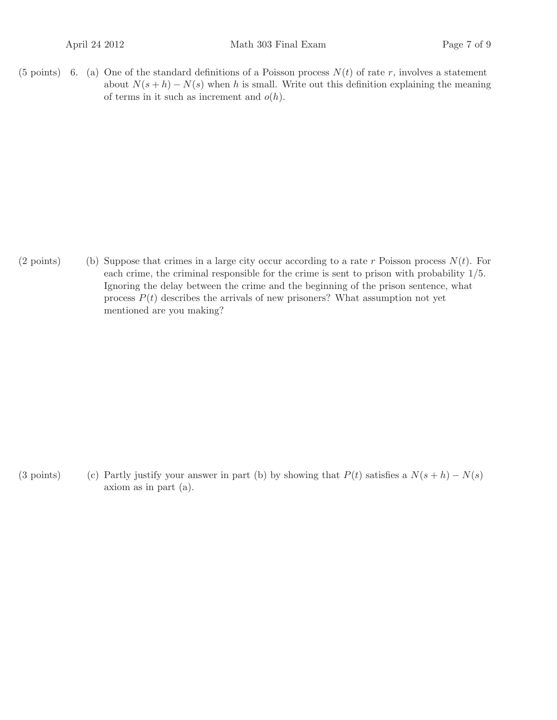(5 points) 6. (a) One of the standard definitions of a Poisson process  $N(t)$  of rate r, involves a statement about  $N(s+h) - N(s)$  when h is small. Write out this definition explaining the meaning of terms in it such as increment and  $o(h)$ .

(2 points) (b) Suppose that crimes in a large city occur according to a rate r Poisson process  $N(t)$ . For each crime, the criminal responsible for the crime is sent to prison with probability 1/5. Ignoring the delay between the crime and the beginning of the prison sentence, what process  $P(t)$  describes the arrivals of new prisoners? What assumption not yet mentioned are you making?

(3 points) (c) Partly justify your answer in part (b) by showing that  $P(t)$  satisfies a  $N(s + h) - N(s)$ axiom as in part (a).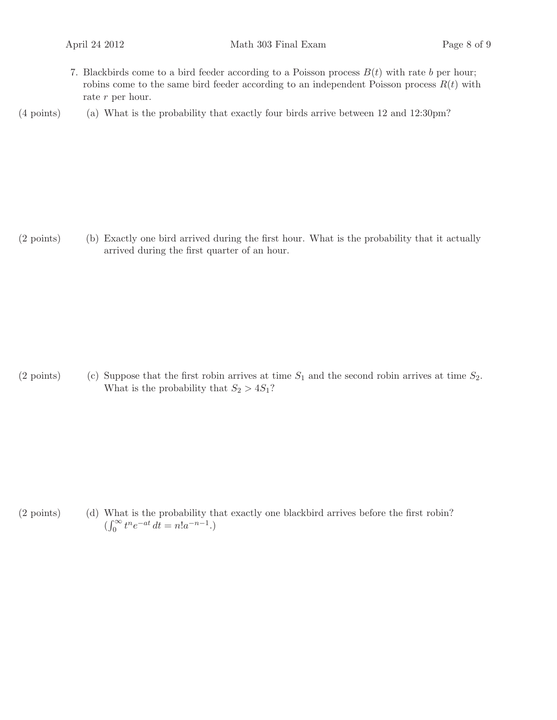7. Blackbirds come to a bird feeder according to a Poisson process  $B(t)$  with rate b per hour; robins come to the same bird feeder according to an independent Poisson process  $R(t)$  with rate r per hour.

 $(4 \text{ points})$  (a) What is the probability that exactly four birds arrive between 12 and 12:30pm?

 $(2 \text{ points})$  (b) Exactly one bird arrived during the first hour. What is the probability that it actually arrived during the first quarter of an hour.

(2 points) (c) Suppose that the first robin arrives at time  $S_1$  and the second robin arrives at time  $S_2$ . What is the probability that  $S_2 > 4S_1$ ?

 $(2 \text{ points})$  (d) What is the probability that exactly one blackbird arrives before the first robin?  $(\int_0^\infty t^n e^{-at} dt = n! a^{-n-1}).$